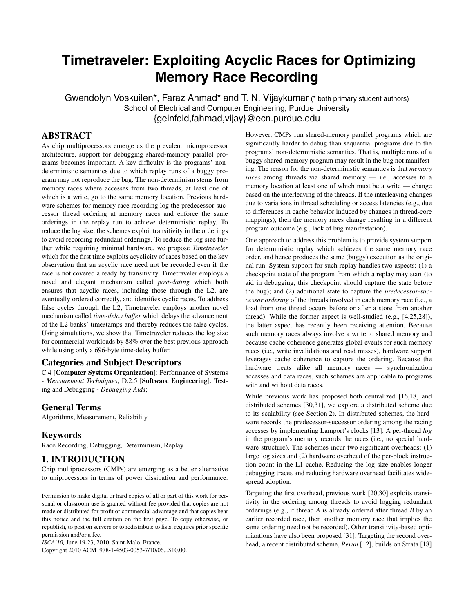# **Timetraveler: Exploiting Acyclic Races for Optimizing Memory Race Recording**

Gwendolyn Voskuilen\*, Faraz Ahmad\* and T. N. Vijaykumar (\* both primary student authors) School of Electrical and Computer Engineering, Purdue University {geinfeld,fahmad,vijay}@ecn.purdue.edu

# **ABSTRACT**

As chip multiprocessors emerge as the prevalent microprocessor architecture, support for debugging shared-memory parallel programs becomes important. A key difficulty is the programs' nondeterministic semantics due to which replay runs of a buggy program may not reproduce the bug. The non-determinism stems from memory races where accesses from two threads, at least one of which is a write, go to the same memory location. Previous hardware schemes for memory race recording log the predecessor-successor thread ordering at memory races and enforce the same orderings in the replay run to achieve deterministic replay. To reduce the log size, the schemes exploit transitivity in the orderings to avoid recording redundant orderings. To reduce the log size further while requiring minimal hardware, we propose *Timetraveler* which for the first time exploits acyclicity of races based on the key observation that an acyclic race need not be recorded even if the race is not covered already by transitivity. Timetraveler employs a novel and elegant mechanism called *post-dating* which both ensures that acyclic races, including those through the L2, are eventually ordered correctly, and identifies cyclic races. To address false cycles through the L2, Timetraveler employs another novel mechanism called *time-delay buffer* which delays the advancement of the L2 banks' timestamps and thereby reduces the false cycles. Using simulations, we show that Timetraveler reduces the log size for commercial workloads by 88% over the best previous approach while using only a 696-byte time-delay buffer.

# **Categories and Subject Descriptors**

C.4 [**Computer Systems Organization**]: Performance of Systems - *Measurement Techniques*; D.2.5 [**Software Engineering**]: Testing and Debugging - *Debugging Aids*;

#### **General Terms**

Algorithms, Measurement, Reliability.

# **Keywords**

Race Recording, Debugging, Determinism, Replay.

# <span id="page-0-0"></span>**1. INTRODUCTION**

Chip multiprocessors (CMPs) are emerging as a better alternative to uniprocessors in terms of power dissipation and performance.

Permission to make digital or hard copies of all or part of this work for personal or classroom use is granted without fee provided that copies are not made or distributed for profit or commercial advantage and that copies bear this notice and the full citation on the first page. To copy otherwise, or republish, to post on servers or to redistribute to lists, requires prior specific permission and/or a fee.

*ISCA'10,* June 19-23, 2010, Saint-Malo, France.

Copyright 2010 ACM 978-1-4503-0053-7/10/06...\$10.00.

However, CMPs run shared-memory parallel programs which are significantly harder to debug than sequential programs due to the programs' non-deterministic semantics. That is, multiple runs of a buggy shared-memory program may result in the bug not manifesting. The reason for the non-deterministic semantics is that *memory races* among threads via shared memory — i.e., accesses to a memory location at least one of which must be a write — change based on the interleaving of the threads. If the interleaving changes due to variations in thread scheduling or access latencies (e.g., due to differences in cache behavior induced by changes in thread-core mappings), then the memory races change resulting in a different program outcome (e.g., lack of bug manifestation).

One approach to address this problem is to provide system support for deterministic replay which achieves the same memory race order, and hence produces the same (buggy) execution as the original run. System support for such replay handles two aspects: (1) a checkpoint state of the program from which a replay may start (to aid in debugging, this checkpoint should capture the state before the bug); and (2) additional state to capture the *predecessor-successor ordering* of the threads involved in each memory race (i.e., a load from one thread occurs before or after a store from another thread). While the former aspect is well-studied (e.g., [4,25,28]), the latter aspect has recently been receiving attention. Because such memory races always involve a write to shared memory and because cache coherence generates global events for such memory races (i.e., write invalidations and read misses), hardware support leverages cache coherence to capture the ordering. Because the hardware treats alike all memory races — synchronization accesses and data races, such schemes are applicable to programs with and without data races.

While previous work has proposed both centralized [16,18] and distributed schemes [30,31], we explore a distributed scheme due to its scalability (see [Section 2\)](#page-1-0). In distributed schemes, the hardware records the predecessor-successor ordering among the racing accesses by implementing Lamport's clocks [13]. A per-thread *log* in the program's memory records the races (i.e., no special hardware structure). The schemes incur two significant overheads: (1) large log sizes and (2) hardware overhead of the per-block instruction count in the L1 cache. Reducing the log size enables longer debugging traces and reducing hardware overhead facilitates widespread adoption.

Targeting the first overhead, previous work [20,30] exploits transitivity in the ordering among threads to avoid logging redundant orderings (e.g., if thread *A* is already ordered after thread *B* by an earlier recorded race, then another memory race that implies the same ordering need not be recorded). Other transitivity-based optimizations have also been proposed [31]. Targeting the second overhead, a recent distributed scheme, *Rerun* [12], builds on Strata [18]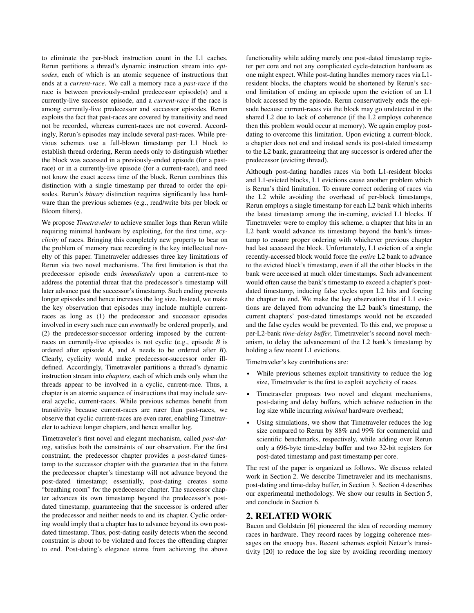to eliminate the per-block instruction count in the L1 caches. Rerun partitions a thread's dynamic instruction stream into *episodes*, each of which is an atomic sequence of instructions that ends at a *current-race*. We call a memory race a *past-race* if the race is between previously-ended predecessor episode(s) and a currently-live successor episode, and a *current-race* if the race is among currently-live predecessor and successor episodes. Rerun exploits the fact that past-races are covered by transitivity and need not be recorded, whereas current-races are not covered. Accordingly, Rerun's episodes may include several past-races. While previous schemes use a full-blown timestamp per L1 block to establish thread ordering, Rerun needs only to distinguish whether the block was accessed in a previously-ended episode (for a pastrace) or in a currently-live episode (for a current-race), and need not know the exact access time of the block. Rerun combines this distinction with a single timestamp per thread to order the episodes. Rerun's *binary* distinction requires significantly less hardware than the previous schemes (e.g., read/write bits per block or Bloom filters).

We propose *Timetraveler* to achieve smaller logs than Rerun while requiring minimal hardware by exploiting, for the first time, *acyclicity* of races. Bringing this completely new property to bear on the problem of memory race recording is the key intellectual novelty of this paper. Timetraveler addresses three key limitations of Rerun via two novel mechanisms. The first limitation is that the predecessor episode ends *immediately* upon a current-race to address the potential threat that the predecessor's timestamp will later advance past the successor's timestamp. Such ending prevents longer episodes and hence increases the log size. Instead, we make the key observation that episodes may include multiple currentraces as long as (1) the predecessor and successor episodes involved in every such race can *eventually* be ordered properly, and (2) the predecessor-successor ordering imposed by the currentraces on currently-live episodes is not cyclic (e.g., episode *B* is ordered after episode *A,* and *A* needs to be ordered after *B*). Clearly, cyclicity would make predecessor-successor order illdefined. Accordingly, Timetraveler partitions a thread's dynamic instruction stream into *chapters,* each of which ends only when the threads appear to be involved in a cyclic, current-race. Thus, a chapter is an atomic sequence of instructions that may include several acyclic, current-races. While previous schemes benefit from transitivity because current-races are rarer than past-races, we observe that cyclic current-races are even rarer, enabling Timetraveler to achieve longer chapters, and hence smaller log.

Timetraveler's first novel and elegant mechanism, called *post-dating*, satisfies both the constraints of our observation. For the first constraint, the predecessor chapter provides a *post-dated* timestamp to the successor chapter with the guarantee that in the future the predecessor chapter's timestamp will not advance beyond the post-dated timestamp; essentially, post-dating creates some "breathing room" for the predecessor chapter. The successor chapter advances its own timestamp beyond the predecessor's postdated timestamp, guaranteeing that the successor is ordered after the predecessor and neither needs to end its chapter. Cyclic ordering would imply that a chapter has to advance beyond its own postdated timestamp. Thus, post-dating easily detects when the second constraint is about to be violated and forces the offending chapter to end. Post-dating's elegance stems from achieving the above functionality while adding merely one post-dated timestamp register per core and not any complicated cycle-detection hardware as one might expect. While post-dating handles memory races via L1 resident blocks, the chapters would be shortened by Rerun's second limitation of ending an episode upon the eviction of an L1 block accessed by the episode. Rerun conservatively ends the episode because current-races via the block may go undetected in the shared L2 due to lack of coherence (if the L2 employs coherence then this problem would occur at memory). We again employ postdating to overcome this limitation. Upon evicting a current-block, a chapter does not end and instead sends its post-dated timestamp to the L2 bank, guaranteeing that any successor is ordered after the predecessor (evicting thread).

Although post-dating handles races via both L1-resident blocks and L1-evicted blocks, L1 evictions cause another problem which is Rerun's third limitation. To ensure correct ordering of races via the L2 while avoiding the overhead of per-block timestamps, Rerun employs a single timestamp for each L2 bank which inherits the latest timestamp among the in-coming, evicted L1 blocks. If Timetraveler were to employ this scheme, a chapter that hits in an L2 bank would advance its timestamp beyond the bank's timestamp to ensure proper ordering with whichever previous chapter had last accessed the block. Unfortunately, L1 eviction of a single recently-accessed block would force the *entire* L2 bank to advance to the evicted block's timestamp, even if all the other blocks in the bank were accessed at much older timestamps. Such advancement would often cause the bank's timestamp to exceed a chapter's postdated timestamp, inducing false cycles upon L2 hits and forcing the chapter to end. We make the key observation that if L1 evictions are delayed from advancing the L2 bank's timestamp, the current chapters' post-dated timestamps would not be exceeded and the false cycles would be prevented. To this end, we propose a per-L2-bank *time-delay buffer*, Timetraveler's second novel mechanism, to delay the advancement of the L2 bank's timestamp by holding a few recent L1 evictions.

Timetraveler's key contributions are:

- **•** While previous schemes exploit transitivity to reduce the log size, Timetraveler is the first to exploit acyclicity of races.
- **•** Timetraveler proposes two novel and elegant mechanisms, post-dating and delay buffers, which achieve reduction in the log size while incurring *minimal* hardware overhead;
- **•** Using simulations, we show that Timetraveler reduces the log size compared to Rerun by 88% and 99% for commercial and scientific benchmarks, respectively, while adding over Rerun only a 696-byte time-delay buffer and two 32-bit registers for post-dated timestamp and past timestamp per core.

The rest of the paper is organized as follows. We discuss related work in [Section 2.](#page-1-0) We describe Timetraveler and its mechanisms, post-dating and time-delay buffer, in [Section 3.](#page-2-0) [Section 4](#page-7-0) describes our experimental methodology. We show our results in [Section 5](#page-7-1), and conclude in [Section 6.](#page-10-0)

# <span id="page-1-0"></span>**2. RELATED WORK**

Bacon and Goldstein [6] pioneered the idea of recording memory races in hardware. They record races by logging coherence messages on the snoopy bus. Recent schemes exploit Netzer's transitivity [20] to reduce the log size by avoiding recording memory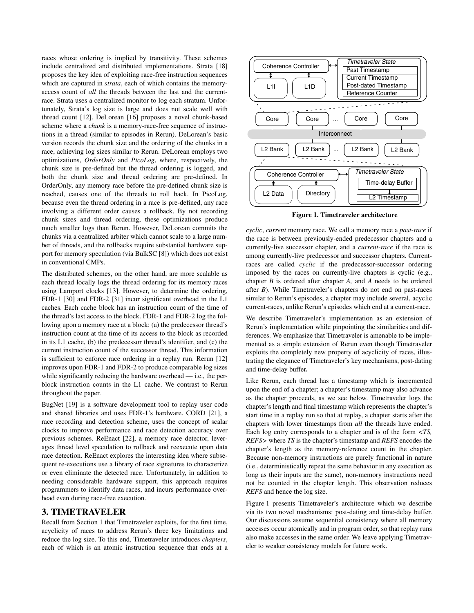races whose ordering is implied by transitivity. These schemes include centralized and distributed implementations. Strata [18] proposes the key idea of exploiting race-free instruction sequences which are captured in *strata*, each of which contains the memoryaccess count of *all* the threads between the last and the currentrace. Strata uses a centralized monitor to log each stratum. Unfortunately, Strata's log size is large and does not scale well with thread count [12]. DeLorean [16] proposes a novel chunk-based scheme where a *chunk* is a memory-race-free sequence of instructions in a thread (similar to episodes in Rerun). DeLorean's basic version records the chunk size and the ordering of the chunks in a race, achieving log sizes similar to Rerun. DeLorean employs two optimizations, *OrderOnly* and *PicoLog*, where, respectively, the chunk size is pre-defined but the thread ordering is logged, and both the chunk size and thread ordering are pre-defined. In OrderOnly, any memory race before the pre-defined chunk size is reached, causes one of the threads to roll back. In PicoLog, because even the thread ordering in a race is pre-defined, any race involving a different order causes a rollback. By not recording chunk sizes and thread ordering, these optimizations produce much smaller logs than Rerun. However, DeLorean commits the chunks via a centralized arbiter which cannot scale to a large number of threads, and the rollbacks require substantial hardware support for memory speculation (via BulkSC [8]) which does not exist in conventional CMPs.

The distributed schemes, on the other hand, are more scalable as each thread locally logs the thread ordering for its memory races using Lamport clocks [13]. However, to determine the ordering, FDR-1 [30] and FDR-2 [31] incur significant overhead in the L1 caches. Each cache block has an instruction count of the time of the thread's last access to the block. FDR-1 and FDR-2 log the following upon a memory race at a block: (a) the predecessor thread's instruction count at the time of its access to the block as recorded in its L1 cache, (b) the predecessor thread's identifier, and (c) the current instruction count of the successor thread. This information is sufficient to enforce race ordering in a replay run. Rerun [12] improves upon FDR-1 and FDR-2 to produce comparable log sizes while significantly reducing the hardware overhead — i.e., the perblock instruction counts in the L1 cache. We contrast to Rerun throughout the paper.

BugNet [19] is a software development tool to replay user code and shared libraries and uses FDR-1's hardware. CORD [21], a race recording and detection scheme, uses the concept of scalar clocks to improve performance and race detection accuracy over previous schemes. ReEnact [22], a memory race detector, leverages thread level speculation to rollback and reexecute upon data race detection. ReEnact explores the interesting idea where subsequent re-executions use a library of race signatures to characterize or even eliminate the detected race. Unfortunately, in addition to needing considerable hardware support, this approach requires programmers to identify data races, and incurs performance overhead even during race-free execution.

# <span id="page-2-0"></span>**3. TIMETRAVELER**

Recall from [Section 1](#page-0-0) that Timetraveler exploits, for the first time, acyclicity of races to address Rerun's three key limitations and reduce the log size. To this end, Timetraveler introduces *chapters*, each of which is an atomic instruction sequence that ends at a



**Figure 1. Timetraveler architecture**

<span id="page-2-1"></span>*cyclic*, *current* memory race. We call a memory race a *past-race* if the race is between previously-ended predecessor chapters and a currently-live successor chapter, and a *current-race* if the race is among currently-live predecessor and successor chapters. Currentraces are called *cyclic* if the predecessor-successor ordering imposed by the races on currently-live chapters is cyclic (e.g., chapter *B* is ordered after chapter *A,* and *A* needs to be ordered after *B*). While Timetraveler's chapters do not end on past-races similar to Rerun's episodes, a chapter may include several, acyclic current-races, unlike Rerun's episodes which end at a current-race.

We describe Timetraveler's implementation as an extension of Rerun's implementation while pinpointing the similarities and differences. We emphasize that Timetraveler is amenable to be implemented as a simple extension of Rerun even though Timetraveler exploits the completely new property of acyclicity of races, illustrating the elegance of Timetraveler's key mechanisms, post-dating and time-delay buffer**.**

Like Rerun, each thread has a timestamp which is incremented upon the end of a chapter; a chapter's timestamp may also advance as the chapter proceeds, as we see below. Timetraveler logs the chapter's length and final timestamp which represents the chapter's start time in a replay run so that at replay, a chapter starts after the chapters with lower timestamps from *all* the threads have ended. Each log entry corresponds to a chapter and is of the form *<TS, REFS>* where *TS* is the chapter's timestamp and *REFS* encodes the chapter's length as the memory-reference count in the chapter. Because non-memory instructions are purely functional in nature (i.e., deterministically repeat the same behavior in any execution as long as their inputs are the same), non-memory instructions need not be counted in the chapter length. This observation reduces *REFS* and hence the log size.

[Figure 1](#page-2-1) presents Timetraveler's architecture which we describe via its two novel mechanisms: post-dating and time-delay buffer. Our discussions assume sequential consistency where all memory accesses occur atomically and in program order, so that replay runs also make accesses in the same order. We leave applying Timetraveler to weaker consistency models for future work.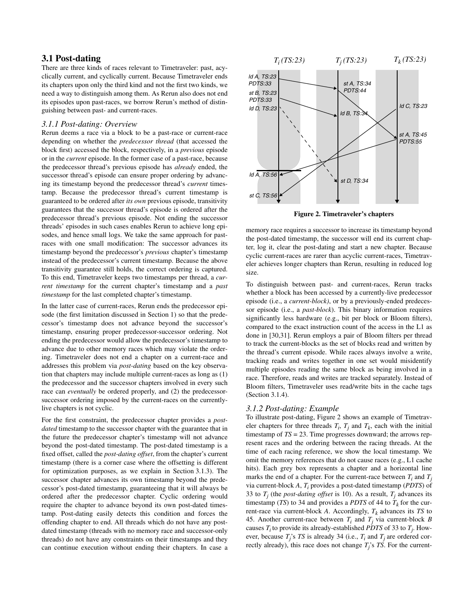# **3.1 Post-dating**

There are three kinds of races relevant to Timetraveler: past, acyclically current, and cyclically current. Because Timetraveler ends its chapters upon only the third kind and not the first two kinds, we need a way to distinguish among them. As Rerun also does not end its episodes upon past-races, we borrow Rerun's method of distinguishing between past- and current-races.

#### <span id="page-3-1"></span>*3.1.1 Post-dating: Overview*

Rerun deems a race via a block to be a past-race or current-race depending on whether the *predecessor thread* (that accessed the block first) accessed the block, respectively, in a *previous* episode or in the *current* episode. In the former case of a past-race, because the predecessor thread's previous episode has *already* ended, the successor thread's episode can ensure proper ordering by advancing its timestamp beyond the predecessor thread's *current* timestamp. Because the predecessor thread's current timestamp is guaranteed to be ordered after *its own* previous episode, transitivity guarantees that the successor thread's episode is ordered after the predecessor thread's previous episode. Not ending the successor threads' episodes in such cases enables Rerun to achieve long episodes, and hence small logs. We take the same approach for pastraces with one small modification: The successor advances its timestamp beyond the predecessor's *previous* chapter's timestamp instead of the predecessor's current timestamp. Because the above transitivity guarantee still holds, the correct ordering is captured. To this end, Timetraveler keeps two timestamps per thread, a *current timestamp* for the current chapter's timestamp and a *past timestamp* for the last completed chapter's timestamp.

In the latter case of current-races, Rerun ends the predecessor episode (the first limitation discussed in [Section 1\)](#page-0-0) so that the predecessor's timestamp does not advance beyond the successor's timestamp, ensuring proper predecessor-successor ordering. Not ending the predecessor would allow the predecessor's timestamp to advance due to other memory races which may violate the ordering. Timetraveler does not end a chapter on a current-race and addresses this problem via *post-dating* based on the key observation that chapters may include multiple current-races as long as (1) the predecessor and the successor chapters involved in every such race can *eventually* be ordered properly, and (2) the predecessorsuccessor ordering imposed by the current-races on the currentlylive chapters is not cyclic.

For the first constraint, the predecessor chapter provides a *postdated* timestamp to the successor chapter with the guarantee that in the future the predecessor chapter's timestamp will not advance beyond the post-dated timestamp. The post-dated timestamp is a fixed offset, called the *post-dating offset*, from the chapter's current timestamp (there is a corner case where the offsetting is different for optimization purposes, as we explain in [Section 3.1.3\)](#page-4-0). The successor chapter advances its own timestamp beyond the predecessor's post-dated timestamp, guaranteeing that it will always be ordered after the predecessor chapter. Cyclic ordering would require the chapter to advance beyond its own post-dated timestamp. Post-dating easily detects this condition and forces the offending chapter to end. All threads which do not have any postdated timestamp (threads with no memory race and successor-only threads) do not have any constraints on their timestamps and they can continue execution without ending their chapters. In case a



**Figure 2. Timetraveler's chapters**

<span id="page-3-0"></span>memory race requires a successor to increase its timestamp beyond the post-dated timestamp, the successor will end its current chapter, log it, clear the post-dating and start a new chapter. Because cyclic current-races are rarer than acyclic current-races, Timetraveler achieves longer chapters than Rerun, resulting in reduced log size.

To distinguish between past- and current-races, Rerun tracks whether a block has been accessed by a currently-live predecessor episode (i.e., a *current-block)*, or by a previously-ended predecessor episode (i.e., a *past-block*). This binary information requires significantly less hardware (e.g., bit per block or Bloom filters), compared to the exact instruction count of the access in the L1 as done in [30,31]. Rerun employs a pair of Bloom filters per thread to track the current-blocks as the set of blocks read and written by the thread's current episode. While races always involve a write, tracking reads and writes together in one set would misidentify multiple episodes reading the same block as being involved in a race. Therefore, reads and writes are tracked separately. Instead of Bloom filters, Timetraveler uses read/write bits in the cache tags ([Section 3.1.4](#page-5-0)).

#### <span id="page-3-2"></span>*3.1.2 Post-dating: Example*

To illustrate post-dating, [Figure 2](#page-3-0) shows an example of Timetraveler chapters for three threads  $T_i$ ,  $T_j$  and  $T_k$ , each with the initial timestamp of *TS* = 23. Time progresses downward; the arrows represent races and the ordering between the racing threads. At the time of each racing reference, we show the local timestamp. We omit the memory references that do not cause races (e.g., L1 cache hits). Each grey box represents a chapter and a horizontal line marks the end of a chapter. For the current-race between  $T_i$  and  $T_j$ via current-block *A*, *T<sup>i</sup>* provides a post-dated timestamp (*PDTS*) of 33 to  $T_j$  (the *post-dating offset* is 10). As a result,  $T_j$  advances its timestamp (*TS*) to 34 and provides a *PDTS* of 44 to  $T_k$  for the current-race via current-block *A*. Accordingly, *T<sup>k</sup>* advances its *TS* to 45. Another current-race between  $T_i$  and  $T_j$  via current-block *B* causes  $T_i$  to provide its already-established *PDTS* of 33 to  $T_j$ . However, because  $T_j$ 's *TS* is already 34 (i.e.,  $T_i$  and  $T_j$  are ordered correctly already), this race does not change *T<sup>j</sup>* 's *TS*. For the current-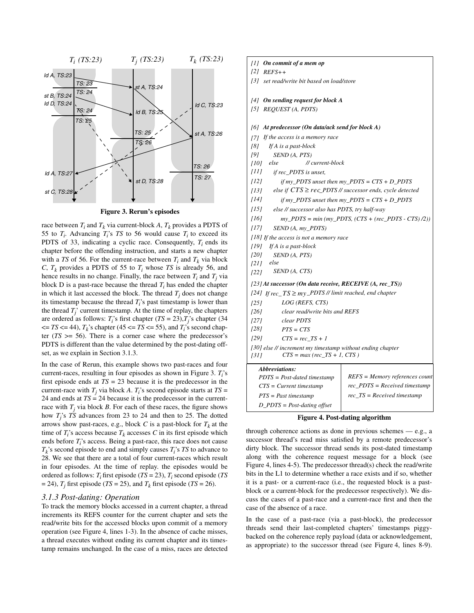

**Figure 3. Rerun's episodes**

<span id="page-4-1"></span>race between  $T_i$  and  $T_k$  via current-block A,  $T_k$  provides a PDTS of 55 to  $T_i$ . Advancing  $T_i$ 's *TS* to 56 would cause  $T_i$  to exceed its PDTS of 33, indicating a cyclic race. Consequently,  $T_i$  ends its chapter before the offending instruction, and starts a new chapter with a *TS* of 56. For the current-race between  $T_i$  and  $T_k$  via block *C*,  $T_k$  provides a PDTS of 55 to  $T_i$  whose *TS* is already 56, and hence results in no change. Finally, the race between  $T_i$  and  $T_j$  via block D is a past-race because the thread  $T_i$  has ended the chapter in which it last accessed the block. The thread  $T_i$  does not change its timestamp because the thread  $T_i$ 's past timestamp is lower than the thread  $T_j$ ' current timestamp. At the time of replay, the chapters are ordered as follows:  $T_i$ 's first chapter  $(TS = 23)$ ,  $T_j$ 's chapter (34)  $\leq$  *TS*  $\leq$  44),  $T_k$ 's chapter (45  $\leq$  *TS*  $\leq$  55), and  $T_i$ 's second chapter  $(TS \ge 56)$ . There is a corner case where the predecessor's PDTS is different than the value determined by the post-dating offset, as we explain in [Section 3.1.3.](#page-4-0)

In the case of Rerun, this example shows two past-races and four current-races, resulting in four episodes as shown in [Figure 3.](#page-4-1) *T<sup>i</sup>* 's first episode ends at  $TS = 23$  because it is the predecessor in the current-race with  $T_j$  via block A.  $T_i$ 's second episode starts at  $TS =$ 24 and ends at *TS* = 24 because it is the predecessor in the currentrace with  $T_i$  via block  $B$ . For each of these races, the figure shows how  $T_j$ 's  $TS$  advances from 23 to 24 and then to 25. The dotted arrows show past-races, e.g., block  $C$  is a past-block for  $T_k$  at the time of  $T_i$ 's access because  $T_k$  accesses  $C$  in its first episode which ends before  $T_i$ 's access. Being a past-race, this race does not cause *Tk* 's second episode to end and simply causes *T<sup>i</sup>* 's *TS* to advance to 28. We see that there are a total of four current-races which result in four episodes. At the time of replay. the episodes would be ordered as follows: *T<sup>i</sup>* first episode (*TS* = 23), *T<sup>i</sup>* second episode (*TS*  $= 24$ ),  $T_j$  first episode (*TS* = 25), and  $T_k$  first episode (*TS* = 26).

#### <span id="page-4-0"></span>*3.1.3 Post-dating: Operation*

To track the memory blocks accessed in a current chapter, a thread increments its REFS counter for the current chapter and sets the read/write bits for the accessed blocks upon commit of a memory operation (see [Figure 4](#page-4-2), lines 1-3). In the absence of cache misses, a thread executes without ending its current chapter and its timestamp remains unchanged. In the case of a miss, races are detected

#### *On commit of a mem op [1]*

```
REFS++
[2]
```
*set read/write bit based on load/store [3]*

#### *On sending request for block A [4]*

*REQUEST (A, PDTS) [5]*

#### *At predecessor (On data/ack send for block A) [6]*

- *If the access is a memory race [7]*
- *If A is a past-block [8]*
- *SEND (A, PTS) [9]*
- *else // current-block [10]*
- *if rec\_PDTS is unset, [11]*
- *if my\_PDTS unset then my\_PDTS = CTS + D\_PDTS [12]*
- *[13] else if*  $CTS \geq rec$  *PDTS* // successor ends, cycle detected
- *if my\_PDTS unset then my\_PDTS = CTS + D\_PDTS [14]*
- *else // successor also has PDTS, try half-way [15]*
- *my\_PDTS = min (my\_PDTS, (CTS + (rec\_PDTS CTS) /2)) [16]*
- *SEND (A, my\_PDTS) If the access is not a memory race [18] [17]*
- *If A is a past-block [19]*
- *SEND (A, PTS) [20]*
- *else [21]*
- *SEND (A, CTS) [22]*

[23] At successor (On data receive, RECEIVE (A, rec\_TS))

- [24] If  $rec\_TS \ge my\_POTS$  // limit reached, end chapter
- *LOG (REFS, CTS) [25]*
- *clear read/write bits and REFS [26]*
- *clear PDTS [27]*
- *PTS = CTS [28]*
- *CTS = rec\_TS + 1 [29]*

*CTS = max (rec\_TS + 1, CTS ) else // increment my timestamp without ending chapter [30] [31]*

| <b>Abbreviations:</b>                         |                                  |
|-----------------------------------------------|----------------------------------|
| $PDTS = Post-dated$ timestamp                 | $REFS = Memory$ references count |
| $CTS = Current$ timestamp                     | $rec$ PDTS = Received timestamp  |
| $PTS = Past$ timestamp                        | $rec$ $TS = Received$ timestamp  |
| $D\_PDTS = Post\text{-}dating \text{ offset}$ |                                  |

#### **Figure 4. Post-dating algorithm**

<span id="page-4-2"></span>through coherence actions as done in previous schemes  $-$  e.g., a successor thread's read miss satisfied by a remote predecessor's dirty block. The successor thread sends its post-dated timestamp along with the coherence request message for a block (see [Figure 4](#page-4-2), lines 4-5). The predecessor thread(s) check the read/write bits in the L1 to determine whether a race exists and if so, whether it is a past- or a current-race (i.e., the requested block is a pastblock or a current-block for the predecessor respectively). We discuss the cases of a past-race and a current-race first and then the case of the absence of a race.

In the case of a past-race (via a past-block), the predecessor threads send their last-completed chapters' timestamps piggybacked on the coherence reply payload (data or acknowledgement, as appropriate) to the successor thread (see [Figure 4,](#page-4-2) lines 8-9).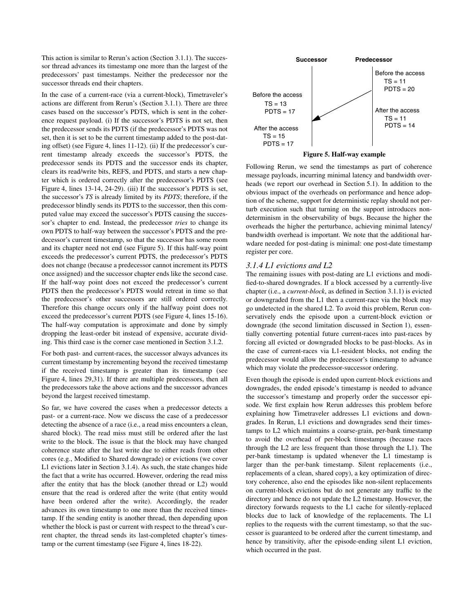This action is similar to Rerun's action [\(Section 3.1.1](#page-3-1)). The successor thread advances its timestamp one more than the largest of the predecessors' past timestamps. Neither the predecessor nor the successor threads end their chapters.

In the case of a current-race (via a current-block), Timetraveler's actions are different from Rerun's [\(Section 3.1.1\)](#page-3-1). There are three cases based on the successor's PDTS, which is sent in the coherence request payload. (i) If the successor's PDTS is not set, then the predecessor sends its PDTS (if the predecessor's PDTS was not set, then it is set to be the current timestamp added to the post-dating offset) (see [Figure 4,](#page-4-2) lines 11-12). (ii) If the predecessor's current timestamp already exceeds the successor's PDTS, the predecessor sends its PDTS and the successor ends its chapter, clears its read/write bits, REFS, and PDTS, and starts a new chapter which is ordered correctly after the predecessor's PDTS (see [Figure 4](#page-4-2), lines 13-14, 24-29). (iii) If the successor's PDTS is set, the successor's *TS* is already limited by its *PDTS*; therefore, if the predecessor blindly sends its PDTS to the successor, then this computed value may exceed the successor's PDTS causing the successor's chapter to end. Instead, the predecessor *tries* to change its own PDTS to half-way between the successor's PDTS and the predecessor's current timestamp, so that the successor has some room and its chapter need not end (see [Figure 5](#page-5-1)). If this half-way point exceeds the predecessor's current PDTS, the predecessor's PDTS does not change (because a predecessor cannot increment its PDTS once assigned) and the successor chapter ends like the second case. If the half-way point does not exceed the predecessor's current PDTS then the predecessor's PDTS would retreat in time so that the predecessor's other successors are still ordered correctly. Therefore this change occurs only if the halfway point does not exceed the predecessor's current PDTS (see [Figure 4](#page-4-2), lines 15-16). The half-way computation is approximate and done by simply dropping the least-order bit instead of expensive, accurate dividing. This third case is the corner case mentioned in [Section 3.1.2](#page-3-2).

For both past- and current-races, the successor always advances its current timestamp by incrementing beyond the received timestamp if the received timestamp is greater than its timestamp (see [Figure 4](#page-4-2), lines 29,31). If there are multiple predecessors, then all the predecessors take the above actions and the successor advances beyond the largest received timestamp.

So far, we have covered the cases when a predecessor detects a past- or a current-race. Now we discuss the case of a predecessor detecting the absence of a race (i.e., a read miss encounters a clean, shared block). The read miss must still be ordered after the last write to the block. The issue is that the block may have changed coherence state after the last write due to either reads from other cores (e.g., Modified to Shared downgrade) or evictions (we cover L1 evictions later in [Section 3.1.4](#page-5-0)). As such, the state changes hide the fact that a write has occurred. However, ordering the read miss after the entity that has the block (another thread or L2) would ensure that the read is ordered after the write (that entity would have been ordered after the write). Accordingly, the reader advances its own timestamp to one more than the received timestamp. If the sending entity is another thread, then depending upon whether the block is past or current with respect to the thread's current chapter, the thread sends its last-completed chapter's timestamp or the current timestamp (see [Figure 4](#page-4-2), lines 18-22).



<span id="page-5-1"></span>Following Rerun, we send the timestamps as part of coherence

message payloads, incurring minimal latency and bandwidth overheads (we report our overhead in [Section 5.1](#page-8-0)). In addition to the obvious impact of the overheads on performance and hence adoption of the scheme, support for deterministic replay should not perturb execution such that turning on the support introduces nondeterminism in the observability of bugs. Because the higher the overheads the higher the perturbance, achieving minimal latency/ bandwidth overhead is important. We note that the additional harwdare needed for post-dating is minimal: one post-date timestamp register per core.

# <span id="page-5-0"></span>*3.1.4 L1 evictions and L2*

The remaining issues with post-dating are L1 evictions and modified-to-shared downgrades. If a block accessed by a currently-live chapter (i.e., a *current-block*, as defined in [Section 3.1.1](#page-3-1)) is evicted or downgraded from the L1 then a current-race via the block may go undetected in the shared L2. To avoid this problem, Rerun conservatively ends the episode upon a current-block eviction or downgrade (the second limitation discussed in [Section 1](#page-0-0)), essentially converting potential future current-races into past-races by forcing all evicted or downgraded blocks to be past-blocks. As in the case of current-races via L1-resident blocks, not ending the predecessor would allow the predecessor's timestamp to advance which may violate the predecessor-successor ordering.

Even though the episode is ended upon current-block evictions and downgrades, the ended episode's timestamp is needed to advance the successor's timestamp and properly order the successor episode. We first explain how Rerun addresses this problem before explaining how Timetraveler addresses L1 evictions and downgrades. In Rerun, L1 evictions and downgrades send their timestamps to L2 which maintains a coarse-grain, per-bank timestamp to avoid the overhead of per-block timestamps (because races through the L2 are less frequent than those through the L1). The per-bank timestamp is updated whenever the L1 timestamp is larger than the per-bank timestamp. Silent replacements (i.e., replacements of a clean, shared copy), a key optimization of directory coherence, also end the episodes like non-silent replacements on current-block evictions but do not generate any traffic to the directory and hence do not update the L2 timestamp. However, the directory forwards requests to the L1 cache for silently-replaced blocks due to lack of knowledge of the replacements. The L1 replies to the requests with the current timestamp, so that the successor is guaranteed to be ordered after the current timestamp, and hence by transitivity, after the episode-ending silent L1 eviction, which occurred in the past.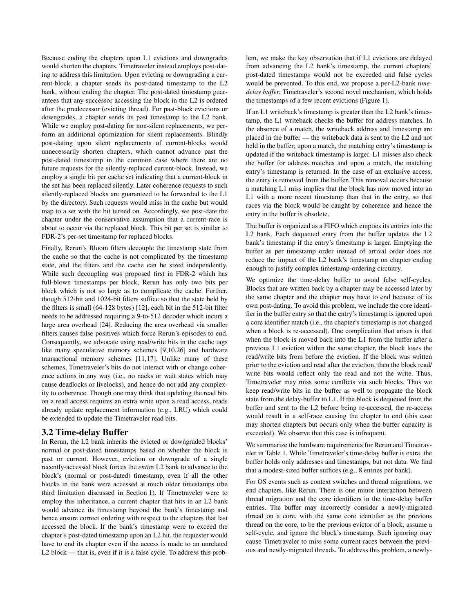Because ending the chapters upon L1 evictions and downgrades would shorten the chapters, Timetraveler instead employs post-dating to address this limitation. Upon evicting or downgrading a current-block, a chapter sends its post-dated timestamp to the L2 bank, without ending the chapter. The post-dated timestamp guarantees that any successor accessing the block in the L2 is ordered after the predecessor (evicting thread). For past-block evictions or downgrades, a chapter sends its past timestamp to the L2 bank. While we employ post-dating for non-silent replacements, we perform an additional optimization for silent replacements. Blindly post-dating upon silent replacements of current-blocks would unnecessarily shorten chapters, which cannot advance past the post-dated timestamp in the common case where there are no future requests for the silently-replaced current-block. Instead, we employ a single bit per cache set indicating that a current-block in the set has been replaced silently. Later coherence requests to such silently-replaced blocks are guaranteed to be forwarded to the L1 by the directory. Such requests would miss in the cache but would map to a set with the bit turned on. Accordingly, we post-date the chapter under the conservative assumption that a current-race is about to occur via the replaced block. This bit per set is similar to FDR-2's per-set timestamp for replaced blocks.

Finally, Rerun's Bloom filters decouple the timestamp state from the cache so that the cache is not complicated by the timestamp state, and the filters and the cache can be sized independently. While such decoupling was proposed first in FDR-2 which has full-blown timestamps per block, Rerun has only two bits per block which is not so large as to complicate the cache. Further, though 512-bit and 1024-bit filters suffice so that the state held by the filters is small (64-128 bytes) [12], each bit in the 512-bit filter needs to be addressed requiring a 9-to-512 decoder which incurs a large area overhead [24]. Reducing the area overhead via smaller filters causes false positives which force Rerun's episodes to end. Consequently, we advocate using read/write bits in the cache tags like many speculative memory schemes [9,10,26] and hardware transactional memory schemes [11,17]. Unlike many of these schemes, Timetraveler's bits do not interact with or change coherence actions in any way (i.e., no nacks or wait states which may cause deadlocks or livelocks), and hence do not add any complexity to coherence. Though one may think that updating the read bits on a read access requires an extra write upon a read access, reads already update replacement information (e.g., LRU) which could be extended to update the Timetraveler read bits.

#### <span id="page-6-0"></span>**3.2 Time-delay Buffer**

In Rerun, the L2 bank inherits the evicted or downgraded blocks' normal or post-dated timestamps based on whether the block is past or current. However, eviction or downgrade of a single recently-accessed block forces the *entire* L2 bank to advance to the block's (normal or post-dated) timestamp, even if all the other blocks in the bank were accessed at much older timestamps (the third limitation discussed in [Section 1\)](#page-0-0). If Timetraveler were to employ this inheritance, a current chapter that hits in an L2 bank would advance its timestamp beyond the bank's timestamp and hence ensure correct ordering with respect to the chapters that last accessed the block. If the bank's timestamp were to exceed the chapter's post-dated timestamp upon an L2 hit, the requester would have to end its chapter even if the access is made to an unrelated L2 block — that is, even if it is a false cycle. To address this problem, we make the key observation that if L1 evictions are delayed from advancing the L2 bank's timestamp, the current chapters' post-dated timestamps would not be exceeded and false cycles would be prevented. To this end, we propose a per-L2-bank *timedelay buffer*, Timetraveler's second novel mechanism, which holds the timestamps of a few recent evictions ([Figure 1\)](#page-2-1).

If an L1 writeback's timestamp is greater than the L2 bank's timestamp, the L1 writeback checks the buffer for address matches. In the absence of a match, the writeback address and timestamp are placed in the buffer — the writeback data is sent to the L2 and not held in the buffer; upon a match, the matching entry's timestamp is updated if the writeback timestamp is larger. L1 misses also check the buffer for address matches and upon a match, the matching entry's timestamp is returned. In the case of an exclusive access, the entry is removed from the buffer. This removal occurs because a matching L1 miss implies that the block has now moved into an L1 with a more recent timestamp than that in the entry, so that races via the block would be caught by coherence and hence the entry in the buffer is obsolete.

The buffer is organized as a FIFO which empties its entries into the L2 bank. Each dequeued entry from the buffer updates the L2 bank's timestamp if the entry's timestamp is larger. Emptying the buffer as per timestamp order instead of arrival order does not reduce the impact of the L2 bank's timestamp on chapter ending enough to justify complex timestamp-ordering circuitry.

We optimize the time-delay buffer to avoid false self-cycles. Blocks that are written back by a chapter may be accessed later by the same chapter and the chapter may have to end because of its own post-dating. To avoid this problem, we include the core identifier in the buffer entry so that the entry's timestamp is ignored upon a core identifier match (i.e., the chapter's timestamp is not changed when a block is re-accessed). One complication that arises is that when the block is moved back into the L1 from the buffer after a previous L1 eviction within the same chapter, the block loses the read/write bits from before the eviction. If the block was written prior to the eviction and read after the eviction, then the block read/ write bits would reflect only the read and not the write. Thus, Timetraveler may miss some conflicts via such blocks. Thus we keep read/write bits in the buffer as well to propagate the block state from the delay-buffer to L1. If the block is dequeued from the buffer and sent to the L2 before being re-accessed, the re-access would result in a self-race causing the chapter to end (this case may shorten chapters but occurs only when the buffer capacity is exceeded). We observe that this case is infrequent.

We summarize the hardware requirements for Rerun and Timetraveler in [Table 1](#page-7-2). While Timetraveler's time-delay buffer is extra, the buffer holds only addresses and timestamps, but not data. We find that a modest-sized buffer suffices (e.g., 8 entries per bank).

For OS events such as context switches and thread migrations, we end chapters, like Rerun. There is one minor interaction between thread migration and the core identifiers in the time-delay buffer entries. The buffer may incorrectly consider a newly-migrated thread on a core, with the same core identifier as the previous thread on the core, to be the previous evictor of a block, assume a self-cycle, and ignore the block's timestamp. Such ignoring may cause Timetraveler to miss some current-races between the previous and newly-migrated threads. To address this problem, a newly-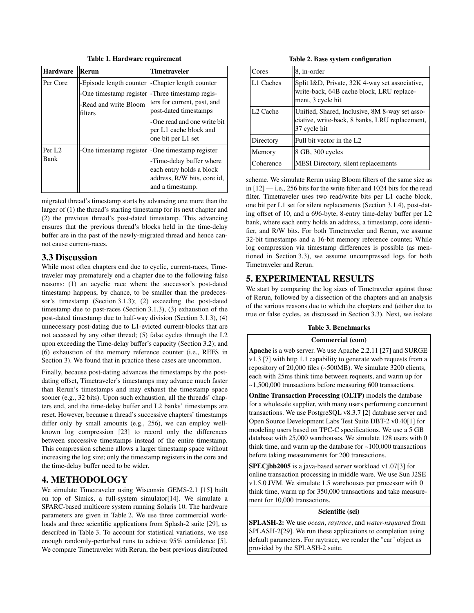**Table 1. Hardware requirement**

<span id="page-7-2"></span>

| <b>Hardware</b>            | Rerun                             | Timetraveler                                                                                                                                                                            |  |  |
|----------------------------|-----------------------------------|-----------------------------------------------------------------------------------------------------------------------------------------------------------------------------------------|--|--|
| Per Core                   |                                   | -Episode length counter   -Chapter length counter                                                                                                                                       |  |  |
|                            | -Read and write Bloom<br>lfilters | -One timestamp register - Three timestamp regis-<br>ters for current, past, and<br>post-dated timestamps<br>-One read and one write bit<br>per L1 cache block and<br>one bit per L1 set |  |  |
| Per L <sub>2</sub><br>Bank |                                   | -One timestamp register   -One timestamp register<br>-Time-delay buffer where<br>each entry holds a block<br>address, R/W bits, core id,<br>and a timestamp.                            |  |  |

migrated thread's timestamp starts by advancing one more than the larger of (1) the thread's starting timestamp for its next chapter and (2) the previous thread's post-dated timestamp. This advancing ensures that the previous thread's blocks held in the time-delay buffer are in the past of the newly-migrated thread and hence cannot cause current-races.

# <span id="page-7-5"></span>**3.3 Discussion**

While most often chapters end due to cyclic, current-races, Timetraveler may prematurely end a chapter due to the following false reasons: (1) an acyclic race where the successor's post-dated timestamp happens, by chance, to be smaller than the predecessor's timestamp ([Section 3.1.3](#page-4-0)); (2) exceeding the post-dated timestamp due to past-races [\(Section 3.1.3](#page-4-0)), (3) exhaustion of the post-dated timestamp due to half-way division [\(Section 3.1.3\)](#page-4-0), (4) unnecessary post-dating due to L1-evicted current-blocks that are not accessed by any other thread; (5) false cycles through the L2 upon exceeding the Time-delay buffer's capacity [\(Section 3.2\)](#page-6-0); and (6) exhaustion of the memory reference counter (i.e., REFS in [Section 3\)](#page-2-0). We found that in practice these cases are uncommon.

Finally, because post-dating advances the timestamps by the postdating offset, Timetraveler's timestamps may advance much faster than Rerun's timestamps and may exhaust the timestamp space sooner (e.g., 32 bits). Upon such exhaustion, all the threads' chapters end, and the time-delay buffer and L2 banks' timestamps are reset. However, because a thread's successive chapters' timestamps differ only by small amounts (e.g., 256), we can employ wellknown log compression [23] to record only the differences between successive timestamps instead of the entire timestamp. This compression scheme allows a larger timestamp space without increasing the log size; only the timestamp registers in the core and the time-delay buffer need to be wider.

# <span id="page-7-0"></span>**4. METHODOLOGY**

We simulate Timetraveler using Wisconsin GEMS-2.1 [15] built on top of Simics, a full-system simulator[14]. We simulate a SPARC-based multicore system running Solaris 10. The hardware parameters are given in [Table 2](#page-7-3). We use three commercial workloads and three scientific applications from Splash-2 suite [29], as described in [Table 3](#page-7-4). To account for statistical variations, we use enough randomly-perturbed runs to achieve 95% confidence [5]. We compare Timetraveler with Rerun, the best previous distributed

**Table 2. Base system configuration**

<span id="page-7-3"></span>

| Cores                | 8, in-order                                                                                                      |
|----------------------|------------------------------------------------------------------------------------------------------------------|
| L1 Caches            | Split I&D, Private, 32K 4-way set associative,<br>write-back, 64B cache block, LRU replace-<br>ment, 3 cycle hit |
| L <sub>2</sub> Cache | Unified, Shared, Inclusive, 8M 8-way set asso-<br>ciative, write-back, 8 banks, LRU replacement,<br>37 cycle hit |
| Directory            | Full bit vector in the L2                                                                                        |
| Memory               | 8 GB, 300 cycles                                                                                                 |
| Coherence            | <b>MESI</b> Directory, silent replacements                                                                       |

scheme. We simulate Rerun using Bloom filters of the same size as in [12] — i.e., 256 bits for the write filter and 1024 bits for the read filter. Timetraveler uses two read/write bits per L1 cache block, one bit per L1 set for silent replacements [\(Section 3.1.4\)](#page-5-0), post-dating offset of 10, and a 696-byte, 8-entry time-delay buffer per L2 bank, where each entry holds an address, a timestamp, core identifier, and R/W bits. For both Timetraveler and Rerun, we assume 32-bit timestamps and a 16-bit memory reference counter**.** While log compression via timestamp differences is possible (as mentioned in [Section 3.3\)](#page-7-5), we assume uncompressed logs for both Timetraveler and Rerun.

# <span id="page-7-1"></span>**5. EXPERIMENTAL RESULTS**

We start by comparing the log sizes of Timetraveler against those of Rerun, followed by a dissection of the chapters and an analysis of the various reasons due to which the chapters end (either due to true or false cycles, as discussed in [Section 3.3\)](#page-7-5). Next, we isolate

#### **Table 3. Benchmarks**

#### **Commercial (com)**

<span id="page-7-4"></span>**Apache** is a web server. We use Apache 2.2.11 [27] and SURGE v1.3 [7] with http 1.1 capability to generate web requests from a repository of 20,000 files (~500MB). We simulate 3200 clients, each with 25ms think time between requests, and warm up for ~1,500,000 transactions before measuring 600 transactions.

**Online Transaction Processing (OLTP)** models the database for a wholesale supplier, with many users performing concurrent transactions. We use PostgreSQL v8.3.7 [2] database server and Open Source Development Labs Test Suite DBT-2 v0.40[1] for modeling users based on TPC-C specifications. We use a 5 GB database with 25,000 warehouses. We simulate 128 users with 0 think time, and warm up the database for  $\sim$  100,000 transactions before taking measurements for 200 transactions.

**SPECjbb2005** is a java-based server workload v1.07[3] for online transaction processing in middle ware. We use Sun J2SE v1.5.0 JVM. We simulate 1.5 warehouses per processor with 0 think time, warm up for 350,000 transactions and take measurement for 10,000 transactions.

# **Scientific (sci)**

**SPLASH-2:** We use *ocean*, *raytrace*, and *water-nsquared* from SPLASH-2[29]. We run these applications to completion using default parameters. For raytrace, we render the "car" object as provided by the SPLASH-2 suite.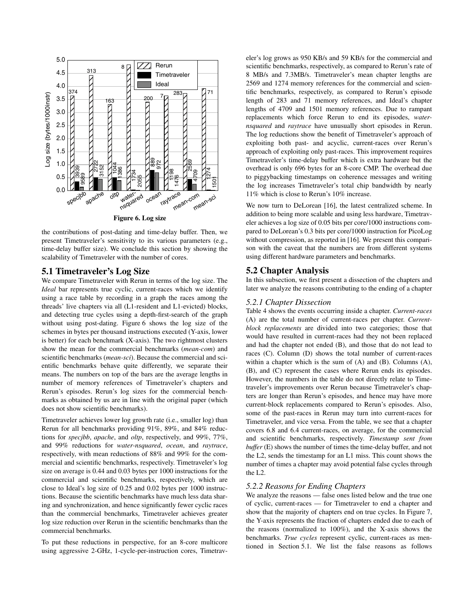

**Figure 6. Log size**

<span id="page-8-1"></span>the contributions of post-dating and time-delay buffer. Then, we present Timetraveler's sensitivity to its various parameters (e.g., time-delay buffer size). We conclude this section by showing the scalability of Timetraveler with the number of cores.

# <span id="page-8-0"></span>**5.1 Timetraveler's Log Size**

We compare Timetraveler with Rerun in terms of the log size. The *Ideal* bar represents true cyclic, current-races which we identify using a race table by recording in a graph the races among the threads' live chapters via all (L1-resident and L1-evicted) blocks, and detecting true cycles using a depth-first-search of the graph without using post-dating. [Figure 6](#page-8-1) shows the log size of the schemes in bytes per thousand instructions executed (Y-axis, lower is better) for each benchmark (X-axis). The two rightmost clusters show the mean for the commercial benchmarks (*mean-com*) and scientific benchmarks (*mean-sci*). Because the commercial and scientific benchmarks behave quite differently, we separate their means. The numbers on top of the bars are the average lengths in number of memory references of Timetraveler's chapters and Rerun's episodes. Rerun's log sizes for the commercial benchmarks as obtained by us are in line with the original paper (which does not show scientific benchmarks).

Timetraveler achieves lower log growth rate (i.e., smaller log) than Rerun for all benchmarks providing 91%, 89%, and 84% reductions for *specjbb*, *apache*, and *oltp*, respectively, and 99%, 77%, and 99% reductions for *water-nsquared*, *ocean*, and *raytrace*, respectively, with mean reductions of 88% and 99% for the commercial and scientific benchmarks, respectively. Timetraveler's log size on average is 0.44 and 0.03 bytes per 1000 instructions for the commercial and scientific benchmarks, respectively, which are close to Ideal's log size of 0.25 and 0.02 bytes per 1000 instructions. Because the scientific benchmarks have much less data sharing and synchronization, and hence significantly fewer cyclic races than the commercial benchmarks, Timetraveler achieves greater log size reduction over Rerun in the scientific benchmarks than the commercial benchmarks.

To put these reductions in perspective, for an 8-core multicore using aggressive 2-GHz, 1-cycle-per-instruction cores, Timetraveler's log grows as 950 KB/s and 59 KB/s for the commercial and scientific benchmarks, respectively, as compared to Rerun's rate of 8 MB/s and 7.3MB/s. Timetraveler's mean chapter lengths are 2569 and 1274 memory references for the commercial and scientific benchmarks, respectively, as compared to Rerun's episode length of 283 and 71 memory references, and Ideal's chapter lengths of 4709 and 1501 memory references. Due to rampant replacements which force Rerun to end its episodes, *waternsquared* and *raytrace* have unusually short episodes in Rerun. The log reductions show the benefit of Timetraveler's approach of exploiting both past- and acyclic, current-races over Rerun's approach of exploiting only past-races. This improvement requires Timetraveler's time-delay buffer which is extra hardware but the overhead is only 696 bytes for an 8-core CMP. The overhead due to piggybacking timestamps on coherence messages and writing the log increases Timetraveler's total chip bandwidth by nearly 11% which is close to Rerun's 10% increase.

We now turn to DeLorean [16], the latest centralized scheme. In addition to being more scalable and using less hardware, Timetraveler achieves a log size of 0.05 bits per core/1000 instructions compared to DeLorean's 0.3 bits per core/1000 instruction for PicoLog without compression, as reported in [16]. We present this comparison with the caveat that the numbers are from different systems using different hardware parameters and benchmarks.

#### **5.2 Chapter Analysis**

In this subsection, we first present a dissection of the chapters and later we analyze the reasons contributing to the ending of a chapter

#### *5.2.1 Chapter Dissection*

[Table 4](#page-9-0) shows the events occurring inside a chapter. *Current-races* (A) are the total number of current-races per chapter. *Currentblock replacements* are divided into two categories; those that would have resulted in current-races had they not been replaced and had the chapter not ended (B), and those that do not lead to races (C). Column (D) shows the total number of current-races within a chapter which is the sum of (A) and (B). Columns (A), (B), and (C) represent the cases where Rerun ends its episodes. However, the numbers in the table do not directly relate to Timetraveler's improvements over Rerun because Timetraveler's chapters are longer than Rerun's episodes, and hence may have more current-block replacements compared to Rerun's episodes. Also, some of the past-races in Rerun may turn into current-races for Timetraveler, and vice versa. From the table, we see that a chapter covers 6.8 and 6.4 current-races, on average, for the commercial and scientific benchmarks, respectively. *Timestamp sent from buffer* (E) shows the number of times the time-delay buffer, and not the L2, sends the timestamp for an L1 miss. This count shows the number of times a chapter may avoid potential false cycles through the L2.

#### *5.2.2 Reasons for Ending Chapters*

We analyze the reasons — false ones listed below and the true one of cyclic, current-races — for Timetraveler to end a chapter and show that the majority of chapters end on true cycles. In [Figure 7](#page-9-1), the Y-axis represents the fraction of chapters ended due to each of the reasons (normalized to 100%), and the X-axis shows the benchmarks. *True cycles* represent cyclic, current-races as mentioned in [Section 5.1](#page-8-0). We list the false reasons as follows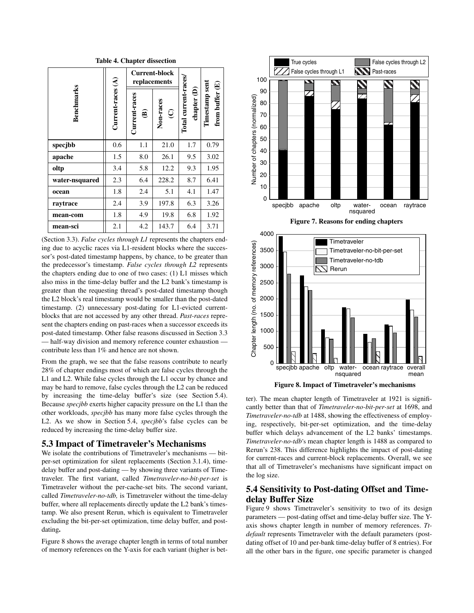**Table 4. Chapter dissection**

<span id="page-9-0"></span>

|                | Current-races (A) | <b>Current-block</b><br>replacements |                      |                                    |                                   |
|----------------|-------------------|--------------------------------------|----------------------|------------------------------------|-----------------------------------|
| Benchmarks     |                   | Current-races<br>€                   | Non-races<br>$\odot$ | Total current-races<br>chapter (D) | Timestamp sent<br>from buffer (E) |
| specjbb        | 0.6               | 1.1                                  | 21.0                 | 1.7                                | 0.79                              |
| apache         | 1.5               | 8.0                                  | 26.1                 | 9.5                                | 3.02                              |
| oltp           | 3.4               | 5.8                                  | 12.2                 | 9.3                                | 1.95                              |
| water-nsquared | 2.3               | 6.4                                  | 228.2                | 8.7                                | 6.41                              |
| ocean          | 1.8               | 2.4                                  | 5.1                  | 4.1                                | 1.47                              |
| raytrace       | 2.4               | 3.9                                  | 197.8                | 6.3                                | 3.26                              |
| mean-com       | 1.8               | 4.9                                  | 19.8                 | 6.8                                | 1.92                              |
| mean-sci       | 2.1               | 4.2                                  | 143.7                | 6.4                                | 3.71                              |

([Section 3.3](#page-7-5)). *False cycles through L1* represents the chapters ending due to acyclic races via L1-resident blocks where the successor's post-dated timestamp happens, by chance, to be greater than the predecessor's timestamp. *False cycles through L2* represents the chapters ending due to one of two cases: (1) L1 misses which also miss in the time-delay buffer and the L2 bank's timestamp is greater than the requesting thread's post-dated timestamp though the L2 block's real timestamp would be smaller than the post-dated timestamp. (2) unnecessary post-dating for L1-evicted currentblocks that are not accessed by any other thread. *Past-races* represent the chapters ending on past-races when a successor exceeds its post-dated timestamp. Other false reasons discussed in [Section 3.3](#page-7-5) — half-way division and memory reference counter exhaustion contribute less than 1% and hence are not shown.

From the graph, we see that the false reasons contribute to nearly 28% of chapter endings most of which are false cycles through the L1 and L2. While false cycles through the L1 occur by chance and may be hard to remove, false cycles through the L2 can be reduced by increasing the time-delay buffer's size (see [Section 5.4\)](#page-9-2). Because *specjbb* exerts higher capacity pressure on the L1 than the other workloads, *specjbb* has many more false cycles through the L2. As we show in [Section 5.4](#page-9-2), *specjbb*'s false cycles can be reduced by increasing the time-delay buffer size.

#### <span id="page-9-4"></span>**5.3 Impact of Timetraveler's Mechanisms**

We isolate the contributions of Timetraveler's mechanisms — bitper-set optimization for silent replacements ([Section 3.1.4\)](#page-5-0), timedelay buffer and post-dating — by showing three variants of Timetraveler. The first variant, called *Timetraveler-no-bit-per-set* is Timetraveler without the per-cache-set bits. The second variant, called *Timetraveler-no-tdb,* is Timetraveler without the time-delay buffer, where all replacements directly update the L2 bank's timestamp. We also present Rerun, which is equivalent to Timetraveler excluding the bit-per-set optimization, time delay buffer, and postdating**.**

[Figure 8](#page-9-3) shows the average chapter length in terms of total number of memory references on the Y-axis for each variant (higher is bet-



<span id="page-9-1"></span>

**Figure 8. Impact of Timetraveler's mechanisms**

<span id="page-9-3"></span>ter). The mean chapter length of Timetraveler at 1921 is significantly better than that of *Timetraveler-no-bit-per-set* at 1698, and *Timetraveler-no-tdb* at 1488, showing the effectiveness of employing, respectively, bit-per-set optimization, and the time-delay buffer which delays advancement of the L2 banks' timestamps. *Timetraveler-no-tdb*'s mean chapter length is 1488 as compared to Rerun's 238. This difference highlights the impact of post-dating for current-races and current-block replacements. Overall, we see that all of Timetraveler's mechanisms have significant impact on the log size.

# <span id="page-9-2"></span>**5.4 Sensitivity to Post-dating Offset and Timedelay Buffer Size**

[Figure 9](#page-10-1) shows Timetraveler's sensitivity to two of its design parameters — post-dating offset and time-delay buffer size. The Yaxis shows chapter length in number of memory references. *Ttdefault* represents Timetraveler with the default parameters (postdating offset of 10 and per-bank time-delay buffer of 8 entries). For all the other bars in the figure, one specific parameter is changed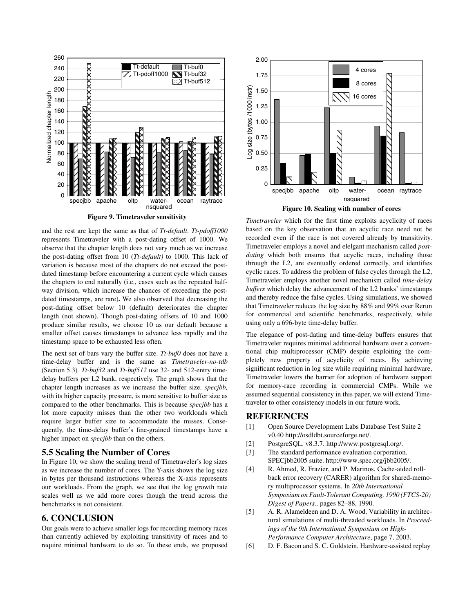

**Figure 9. Timetraveler sensitivity**

<span id="page-10-1"></span>and the rest are kept the same as that of *Tt-default*. *Tt-pdoff1000* represents Timetraveler with a post-dating offset of 1000. We observe that the chapter length does not vary much as we increase the post-dating offset from 10 (*Tt-default)* to 1000. This lack of variation is because most of the chapters do not exceed the postdated timestamp before encountering a current cycle which causes the chapters to end naturally (i.e., cases such as the repeated halfway division, which increase the chances of exceeding the postdated timestamps, are rare)**.** We also observed that decreasing the post-dating offset below 10 (default) deteriorates the chapter length (not shown). Though post-dating offsets of 10 and 1000 produce similar results, we choose 10 as our default because a smaller offset causes timestamps to advance less rapidly and the timestamp space to be exhausted less often.

The next set of bars vary the buffer size. *Tt-buf0* does not have a time-delay buffer and is the same as *Timetraveler-no-tdb* ([Section 5.3](#page-9-4))*. Tt-buf32* and *Tt-buf512* use 32- and 512-entry timedelay buffers per L2 bank, respectively. The graph shows that the chapter length increases as we increase the buffer size. *specjbb,* with its higher capacity pressure, is more sensitive to buffer size as compared to the other benchmarks. This is because *specjbb* has a lot more capacity misses than the other two workloads which require larger buffer size to accommodate the misses. Consequently, the time-delay buffer's fine-grained timestamps have a higher impact on *specjbb* than on the others.

#### **5.5 Scaling the Number of Cores**

In [Figure 10](#page-10-2), we show the scaling trend of Timetraveler's log sizes as we increase the number of cores. The Y-axis shows the log size in bytes per thousand instructions whereas the X-axis represents our workloads. From the graph, we see that the log growth rate scales well as we add more cores though the trend across the benchmarks is not consistent.

## <span id="page-10-0"></span>**6. CONCLUSION**

Our goals were to achieve smaller logs for recording memory races than currently achieved by exploiting transitivity of races and to require minimal hardware to do so. To these ends, we proposed



<span id="page-10-2"></span>*Timetraveler* which for the first time exploits acyclicity of races based on the key observation that an acyclic race need not be recorded even if the race is not covered already by transitivity. Timetraveler employs a novel and elelgant mechanism called *postdating* which both ensures that acyclic races, including those through the L2, are eventually ordered correctly, and identifies cyclic races. To address the problem of false cycles through the L2, Timetraveler employs another novel mechanism called *time-delay buffers* which delay the advancement of the L2 banks' timestamps and thereby reduce the false cycles. Using simulations, we showed that Timetraveler reduces the log size by 88% and 99% over Rerun for commercial and scientific benchmarks, respectively, while using only a 696-byte time-delay buffer.

The elegance of post-dating and time-delay buffers ensures that Timetraveler requires minimal additional hardware over a conventional chip multiprocessor (CMP) despite exploiting the completely new property of acyclicity of races. By achieving significant reduction in log size while requiring minimal hardware, Timetraveler lowers the barrier for adoption of hardware support for memory-race recording in commercial CMPs. While we assumed sequential consistency in this paper, we will extend Timetraveler to other consistency models in our future work.

# **REFERENCES**

- [1] Open Source Development Labs Database Test Suite 2 v0.40 http://osdldbt.sourceforge.net/.
- [2] PostgreSQL. v8.3.7. http://www.postgresql.org/.
- [3] The standard performance evaluation corporation. SPECjbb2005 suite. http://www.spec.org/jbb2005/.
- [4] R. Ahmed, R. Frazier, and P. Marinos. Cache-aided rollback error recovery (CARER) algorithm for shared-memory multiprocessor systems. In *20th International Symposium on Fault-Tolerant Computing, 1990 (FTCS-20) Digest of Papers.,* pages 82–88, 1990.
- [5] A. R. Alameldeen and D. A. Wood. Variability in architectural simulations of multi-threaded workloads. In *Proceedings of the 9th International Symposium on High-Performance Computer Architecture*, page 7, 2003.
- [6] D. F. Bacon and S. C. Goldstein. Hardware-assisted replay